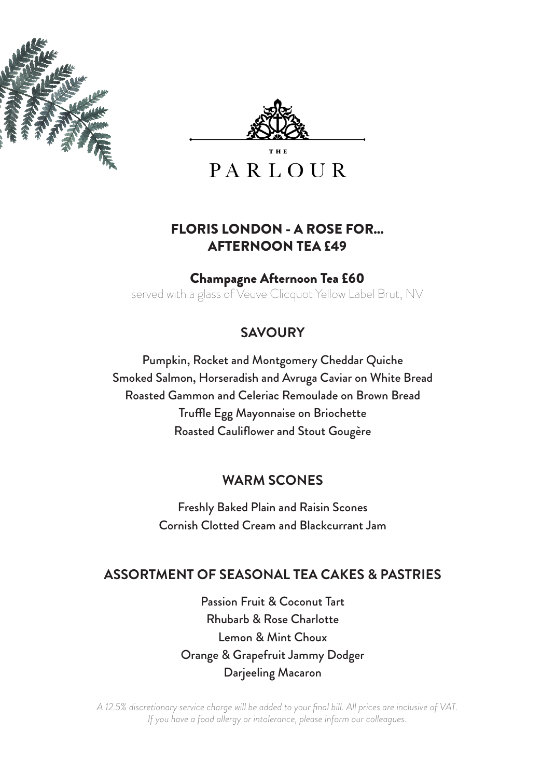



**PARLOUR** 

#### FLORIS LONDON - A ROSE FOR... AFTERNOON TEA £49

#### Champagne Afternoon Tea £60

served with a glass of Veuve Clicquot Yellow Label Brut, NV

## **SAVOURY**

Pumpkin, Rocket and Montgomery Cheddar Quiche Smoked Salmon, Horseradish and Avruga Caviar on White Bread Roasted Gammon and Celeriac Remoulade on Brown Bread Truffle Egg Mayonnaise on Briochette Roasted Cauliflower and Stout Gougère

### **WARM SCONES**

Freshly Baked Plain and Raisin Scones Cornish Clotted Cream and Blackcurrant Jam

#### **ASSORTMENT OF SEASONAL TEA CAKES & PASTRIES**

Passion Fruit & Coconut Tart Rhubarb & Rose Charlotte Lemon & Mint Choux Orange & Grapefruit Jammy Dodger Darjeeling Macaron

*A 12.5% discretionary service charge will be added to your final bill. All prices are inclusive of VAT. If you have a food allergy or intolerance, please inform our colleagues.*